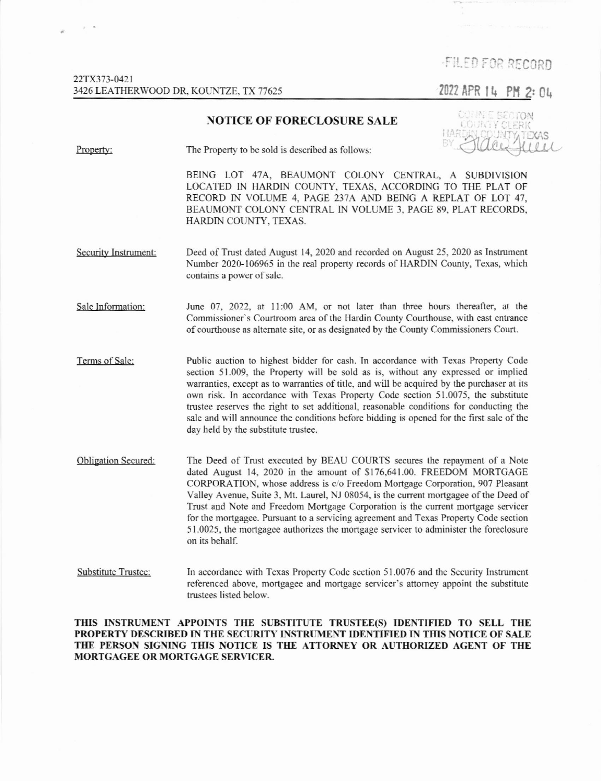## -FILED FOR RECORD

2022 APR 14 PM 2: 04

## NOTICE OF FORECLOSURE SALE



Property: The Property to be sold is described as follows:

BEING LOT 47A, BEAUMONT COLONY CENTRAL, A SUBDIVISION LOCATED IN HARDIN COUNTY, TEXAS, ACCORDING TO THE PLAT OF RECORD IN VOLUME 4. PAGE 237A AND BEINC A REPLAT OF LOT 47, BEAUMONT COLONY CENTRAL IN VOLUME 3. PAGE 89. PLAT RECORDS. HARDIN COUNTY, TEXAS.

Security Instrument: Deed of Trust dated August 14, 2020 and recorded on August 25, 2020 as Instrument Number 2020-106965 in the real property records of HARDIN County, Texas, which contains a power of sale.

Sale Information: June 07, 2022, at 11:00 AM, or not later than three hours thereafter, at the Commissioner's Courtroom area of thc llardin County Courthouse, with east entrance of courthouse as alternate site, or as designated by the County Commissioners Court.

Terms of Sale: Public auction to highest bidder for cash. In accordance with Texas Property Code section 51.009. the Property will be sold as is, without any cxpressed or implied warranties, except as to warranties of title, and will be acquired by the purchaser at its own risk. In accordance with Texas Property Code section 51.0075, the substitute trustee reserves the right to set additional, reasonable conditions for conducting the sale and will announce the conditions before bidding is opened for the first sale of the day held by the substitute trustee.

Obligation Secured: The Deed of Tmst exccuted by BEAU COURTS secures the repayrnent of a Note dated August 14, 2020 in the amount of \$176,641.00. FREEDOM MORTGAGE CORPORATION, whose address is c/o Freedom Mortgage Corporation, 907 Pleasant Valley Avenue, Suite 3, Mt. Laurel, NJ 08054, is the current mortgagee of the Deed of Trust and Note and Freedom Mortgage Corporation is the current mortgage servicer for the mortgagee. Pursuant to a servicing agreement and Texas Property Code section 51.0025, the mortgagee authorizes the mortgage servicer to administer the foreclosure on its behalf.

Substitute Trustee: In accordance with Texas Property Code section 51.0076 and the Security Instrument referenced above, mortgagee and mortgage servicer's attorney appoint the substitute trustees listed below.

THIS INSTRUMENT APPOINTS THE SUBSTITUTE TRUSTEE(S) IDENTIFIED TO SELL THE PROPERTY DESCRIBED IN THE SECURITY INSTRUMENT IDENTIFIED IN THIS NOTICE OF SALE THE PERSON SIGNING THIS NOTICE IS THE ATTORNEY OR AUTHORIZED AGENT OF THE MORTGAGEE OR MORTGAGE SERVICER.